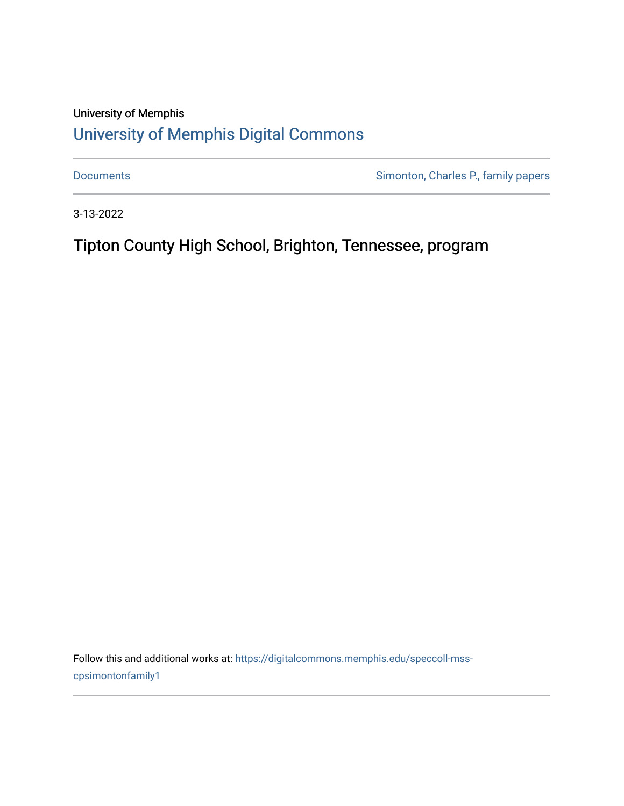## University of Memphis [University of Memphis Digital Commons](https://digitalcommons.memphis.edu/)

[Documents](https://digitalcommons.memphis.edu/speccoll-mss-cpsimontonfamily1) **Simonton, Charles P., family papers** 

3-13-2022

Tipton County High School, Brighton, Tennessee, program

Follow this and additional works at: [https://digitalcommons.memphis.edu/speccoll-mss](https://digitalcommons.memphis.edu/speccoll-mss-cpsimontonfamily1?utm_source=digitalcommons.memphis.edu%2Fspeccoll-mss-cpsimontonfamily1%2F9&utm_medium=PDF&utm_campaign=PDFCoverPages)[cpsimontonfamily1](https://digitalcommons.memphis.edu/speccoll-mss-cpsimontonfamily1?utm_source=digitalcommons.memphis.edu%2Fspeccoll-mss-cpsimontonfamily1%2F9&utm_medium=PDF&utm_campaign=PDFCoverPages)